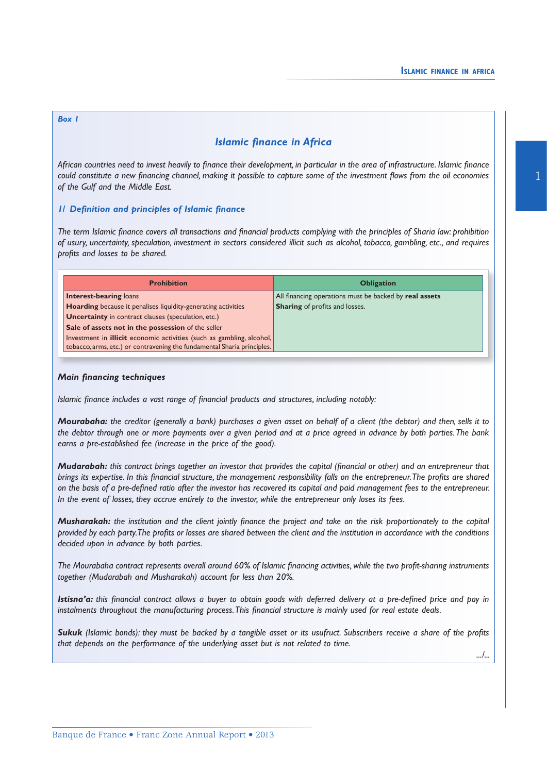1

# *Box 1*

# *Islamic finance in Africa*

*African countries need to invest heavily to finance their development, in particular in the area of infrastructure. Islamic finance could constitute a new financing channel, making it possible to capture some of the investment flows from the oil economies of the Gulf and the Middle East.*

# *1/ Definition and principles of Islamic finance*

*The term Islamic finance covers all transactions and financial products complying with the principles of Sharia law: prohibition of usury, uncertainty, speculation, investment in sectors considered illicit such as alcohol, tobacco, gambling, etc., and requires profits and losses to be shared.*

| <b>Prohibition</b>                                                           | <b>Obligation</b>                                      |  |  |  |  |
|------------------------------------------------------------------------------|--------------------------------------------------------|--|--|--|--|
| <b>Interest-bearing loans</b>                                                | All financing operations must be backed by real assets |  |  |  |  |
| <b>Hoarding</b> because it penalises liquidity-generating activities         | <b>Sharing</b> of profits and losses.                  |  |  |  |  |
| <b>Uncertainty</b> in contract clauses (speculation, etc.)                   |                                                        |  |  |  |  |
| Sale of assets not in the possession of the seller                           |                                                        |  |  |  |  |
| Investment in <b>illicit</b> economic activities (such as gambling, alcohol, |                                                        |  |  |  |  |
| tobacco, arms, etc.) or contravening the fundamental Sharia principles.      |                                                        |  |  |  |  |

# *Main financing techniques*

*Islamic finance includes a vast range of financial products and structures, including notably:*

*Mourabaha: the creditor (generally a bank) purchases a given asset on behalf of a client (the debtor) and then, sells it to the debtor through one or more payments over a given period and at a price agreed in advance by both parties. The bank earns a pre-established fee (increase in the price of the good).*

*Mudarabah: this contract brings together an investor that provides the capital (financial or other) and an entrepreneur that brings its expertise. In this financial structure, the management responsibility falls on the entrepreneur. The profits are shared on the basis of a pre-defined ratio after the investor has recovered its capital and paid management fees to the entrepreneur. In the event of losses, they accrue entirely to the investor, while the entrepreneur only loses its fees.*

*Musharakah: the institution and the client jointly finance the project and take on the risk proportionately to the capital provided by each party. The profits or losses are shared between the client and the institution in accordance with the conditions decided upon in advance by both parties.*

*The Mourabaha contract represents overall around 60% of Islamic financing activities, while the two profit-sharing instruments together (Mudarabah and Musharakah) account for less than 20%.*

*Istisna'a: this financial contract allows a buyer to obtain goods with deferred delivery at a pre-defined price and pay in instalments throughout the manufacturing process. This financial structure is mainly used for real estate deals.*

*Sukuk (Islamic bonds): they must be backed by a tangible asset or its usufruct. Subscribers receive a share of the profits that depends on the performance of the underlying asset but is not related to time.*

*.../...*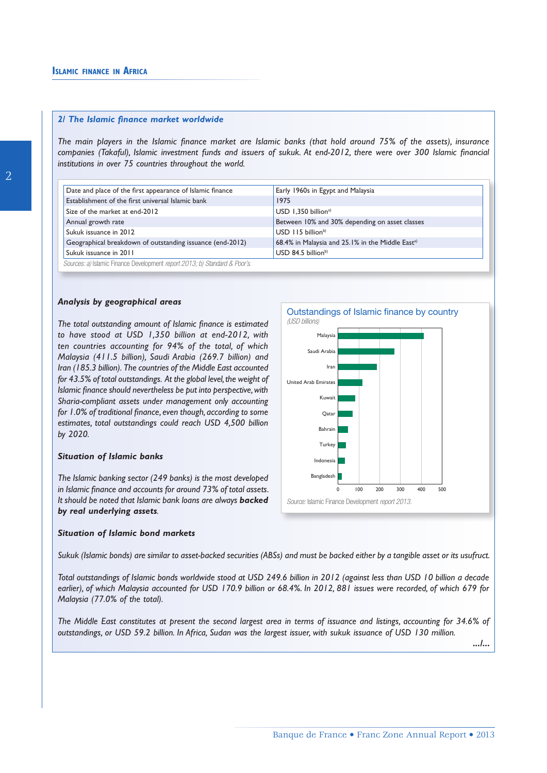#### *2/ The Islamic finance market worldwide*

*The main players in the Islamic finance market are Islamic banks (that hold around 75% of the assets), insurance companies (Takaful), Islamic investment funds and issuers of sukuk. At end-2012, there were over 300 Islamic financial institutions in over 75 countries throughout the world.*

| Date and place of the first appearance of Islamic finance                  | Early 1960s in Egypt and Malaysia                            |  |  |  |  |  |  |
|----------------------------------------------------------------------------|--------------------------------------------------------------|--|--|--|--|--|--|
| Establishment of the first universal Islamic bank                          | 1975                                                         |  |  |  |  |  |  |
| Size of the market at end-2012                                             | $USD$ 1.350 billion <sup>a)</sup>                            |  |  |  |  |  |  |
| Annual growth rate                                                         | Between 10% and 30% depending on asset classes               |  |  |  |  |  |  |
| Sukuk issuance in 2012                                                     | $USD$ 115 billion <sup>b)</sup>                              |  |  |  |  |  |  |
| Geographical breakdown of outstanding issuance (end-2012)                  | 68.4% in Malaysia and 25.1% in the Middle East <sup>a)</sup> |  |  |  |  |  |  |
| Sukuk issuance in 2011                                                     | $USD$ 84.5 billion <sup>b)</sup>                             |  |  |  |  |  |  |
| Sources: a) Islamic Finance Development report 2013; b) Standard & Poor's. |                                                              |  |  |  |  |  |  |

#### *Analysis by geographical areas*

*The total outstanding amount of Islamic finance is estimated to have stood at USD 1,350 billion at end-2012, with ten countries accounting for 94% of the total, of which Malaysia (411.5 billion), Saudi Arabia (269.7 billion) and Iran (185.3 billion). The countries of the Middle East accounted for 43.5% of total outstandings. At the global level, the weight of Islamic finance should nevertheless be put into perspective, with Sharia-compliant assets under management only accounting for 1.0% of traditional finance, even though, according to some estimates, total outstandings could reach USD 4,500 billion by 2020.*

## *Situation of Islamic banks*

*The Islamic banking sector (249 banks) is the most developed in Islamic finance and accounts for around 73% of total assets. It should be noted that Islamic bank loans are always backed by real underlying assets.*

#### *Situation of Islamic bond markets*

*Sukuk (Islamic bonds) are similar to asset-backed securities (ABSs) and must be backed either by a tangible asset or its usufruct.*

*Total outstandings of Islamic bonds worldwide stood at USD 249.6 billion in 2012 (against less than USD 10 billion a decade earlier), of which Malaysia accounted for USD 170.9 billion or 68.4%. In 2012, 881 issues were recorded, of which 679 for Malaysia (77.0% of the total).*

*The Middle East constitutes at present the second largest area in terms of issuance and listings, accounting for 34.6% of outstandings, or USD 59.2 billion. In Africa, Sudan was the largest issuer, with sukuk issuance of USD 130 million.*

*.../...*